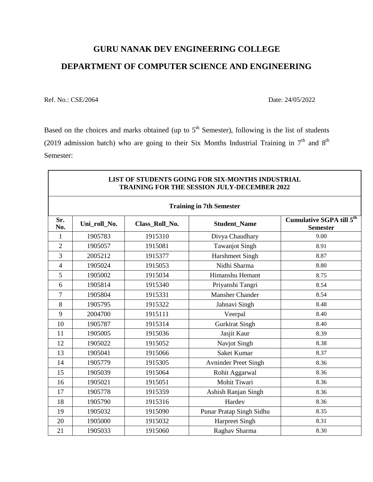## **GURU NANAK DEV ENGINEERING COLLEGE DEPARTMENT OF COMPUTER SCIENCE AND ENGINEERING**

Ref. No.: CSE/2064 Date: 24/05/2022

 $\Gamma$ 

Τ

Based on the choices and marks obtained (up to  $5<sup>th</sup>$  Semester), following is the list of students (2019 admission batch) who are going to their Six Months Industrial Training in  $7<sup>th</sup>$  and  $8<sup>th</sup>$ Semester:

| LIST OF STUDENTS GOING FOR SIX-MONTHS INDUSTRIAL<br><b>TRAINING FOR THE SESSION JULY-DECEMBER 2022</b> |                                 |                |                             |                                                    |  |  |
|--------------------------------------------------------------------------------------------------------|---------------------------------|----------------|-----------------------------|----------------------------------------------------|--|--|
|                                                                                                        | <b>Training in 7th Semester</b> |                |                             |                                                    |  |  |
| Sr.<br>No.                                                                                             | Uni_roll_No.                    | Class_Roll_No. | <b>Student_Name</b>         | <b>Cumulative SGPA till 5th</b><br><b>Semester</b> |  |  |
| 1                                                                                                      | 1905783                         | 1915310        | Divya Chaudhary             | 9.00                                               |  |  |
| $\overline{2}$                                                                                         | 1905057                         | 1915081        | <b>Tawanjot Singh</b>       | 8.91                                               |  |  |
| 3                                                                                                      | 2005212                         | 1915377        | <b>Harshmeet Singh</b>      | 8.87                                               |  |  |
| $\overline{4}$                                                                                         | 1905024                         | 1915053        | Nidhi Sharma                | 8.80                                               |  |  |
| 5                                                                                                      | 1905002                         | 1915034        | Himanshu Hemant             | 8.75                                               |  |  |
| 6                                                                                                      | 1905814                         | 1915340        | Priyanshi Tangri            | 8.54                                               |  |  |
| $\tau$                                                                                                 | 1905804                         | 1915331        | <b>Mansher Chander</b>      | 8.54                                               |  |  |
| 8                                                                                                      | 1905795                         | 1915322        | Jahnavi Singh               | 8.48                                               |  |  |
| 9                                                                                                      | 2004700                         | 1915111        | Veerpal                     | 8.40                                               |  |  |
| 10                                                                                                     | 1905787                         | 1915314        | <b>Gurkirat Singh</b>       | 8.40                                               |  |  |
| 11                                                                                                     | 1905005                         | 1915036        | Jasjit Kaur                 | 8.39                                               |  |  |
| 12                                                                                                     | 1905022                         | 1915052        | Navjot Singh                | 8.38                                               |  |  |
| 13                                                                                                     | 1905041                         | 1915066        | Saket Kumar                 | 8.37                                               |  |  |
| 14                                                                                                     | 1905779                         | 1915305        | <b>Avninder Preet Singh</b> | 8.36                                               |  |  |
| 15                                                                                                     | 1905039                         | 1915064        | Rohit Aggarwal              | 8.36                                               |  |  |
| 16                                                                                                     | 1905021                         | 1915051        | Mohit Tiwari                | 8.36                                               |  |  |
| 17                                                                                                     | 1905778                         | 1915359        | Ashish Ranjan Singh         | 8.36                                               |  |  |
| 18                                                                                                     | 1905790                         | 1915316        | Hardev                      | 8.36                                               |  |  |
| 19                                                                                                     | 1905032                         | 1915090        | Punar Pratap Singh Sidhu    | 8.35                                               |  |  |
| 20                                                                                                     | 1905000                         | 1915032        | <b>Harpreet Singh</b>       | 8.31                                               |  |  |
| 21                                                                                                     | 1905033                         | 1915060        | Raghav Sharma               | 8.30                                               |  |  |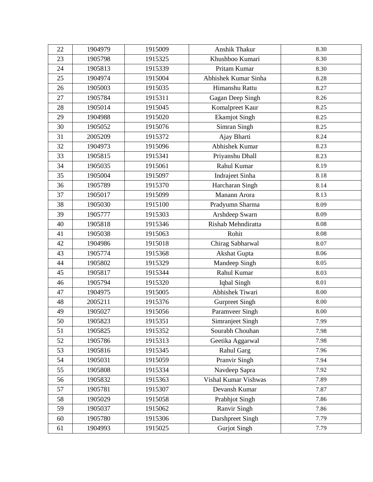| 22 | 1904979 | 1915009 | Anshik Thakur         | 8.30 |
|----|---------|---------|-----------------------|------|
| 23 | 1905798 | 1915325 | Khushboo Kumari       | 8.30 |
| 24 | 1905813 | 1915339 | Pritam Kumar          | 8.30 |
| 25 | 1904974 | 1915004 | Abhishek Kumar Sinha  | 8.28 |
| 26 | 1905003 | 1915035 | Himanshu Rattu        | 8.27 |
| 27 | 1905784 | 1915311 | Gagan Deep Singh      | 8.26 |
| 28 | 1905014 | 1915045 | Komalpreet Kaur       | 8.25 |
| 29 | 1904988 | 1915020 | <b>Ekamjot Singh</b>  | 8.25 |
| 30 | 1905052 | 1915076 | Simran Singh          | 8.25 |
| 31 | 2005209 | 1915372 | Ajay Bharti           | 8.24 |
| 32 | 1904973 | 1915096 | Abhishek Kumar        | 8.23 |
| 33 | 1905815 | 1915341 | Priyanshu Dhall       | 8.23 |
| 34 | 1905035 | 1915061 | Rahul Kumar           | 8.19 |
| 35 | 1905004 | 1915097 | Indrajeet Sinha       | 8.18 |
| 36 | 1905789 | 1915370 | Harcharan Singh       | 8.14 |
| 37 | 1905017 | 1915099 | Manann Arora          | 8.13 |
| 38 | 1905030 | 1915100 | Pradyumn Sharma       | 8.09 |
| 39 | 1905777 | 1915303 | Arshdeep Swarn        | 8.09 |
| 40 | 1905818 | 1915346 | Rishab Mehndiratta    | 8.08 |
| 41 | 1905038 | 1915063 | Rohit                 | 8.08 |
| 42 | 1904986 | 1915018 | Chirag Sabharwal      | 8.07 |
| 43 | 1905774 | 1915368 | Akshat Gupta          | 8.06 |
| 44 | 1905802 | 1915329 | Mandeep Singh         | 8.05 |
| 45 | 1905817 | 1915344 | Rahul Kumar           | 8.03 |
| 46 | 1905794 | 1915320 | Iqbal Singh           | 8.01 |
| 47 | 1904975 | 1915005 | Abhishek Tiwari       | 8.00 |
| 48 | 2005211 | 1915376 | <b>Gurpreet Singh</b> | 8.00 |
| 49 | 1905027 | 1915056 | Paramveer Singh       | 8.00 |
| 50 | 1905823 | 1915351 | Simranjeet Singh      | 7.99 |
| 51 | 1905825 | 1915352 | Sourabh Chouhan       | 7.98 |
| 52 | 1905786 | 1915313 | Geetika Aggarwal      | 7.98 |
| 53 | 1905816 | 1915345 | Rahul Garg            | 7.96 |
| 54 | 1905031 | 1915059 | Pranvir Singh         | 7.94 |
| 55 | 1905808 | 1915334 | Navdeep Sapra         | 7.92 |
| 56 | 1905832 | 1915363 | Vishal Kumar Vishwas  | 7.89 |
| 57 | 1905781 | 1915307 | Devansh Kumar         | 7.87 |
| 58 | 1905029 | 1915058 | Prabhjot Singh        | 7.86 |
| 59 | 1905037 | 1915062 | <b>Ranvir Singh</b>   | 7.86 |
| 60 | 1905780 | 1915306 | Darshpreet Singh      | 7.79 |
| 61 | 1904993 | 1915025 | <b>Gurjot Singh</b>   | 7.79 |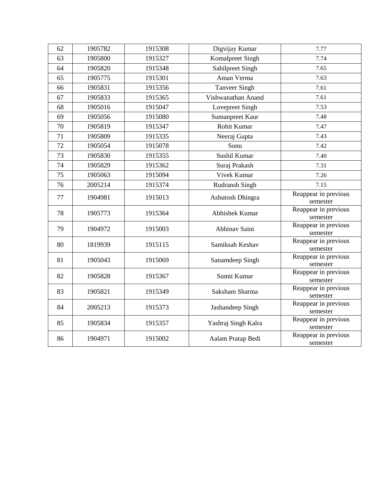| 62 | 1905782 | 1915308 | Digvijay Kumar        | 7.77                             |
|----|---------|---------|-----------------------|----------------------------------|
| 63 | 1905800 | 1915327 | Komalpreet Singh      | 7.74                             |
| 64 | 1905820 | 1915348 | Sahilpreet Singh      | 7.65                             |
| 65 | 1905775 | 1915301 | Aman Verma            | 7.63                             |
| 66 | 1905831 | 1915356 | Tanveer Singh         | 7.61                             |
| 67 | 1905833 | 1915365 | Vishwanathan Anand    | 7.61                             |
| 68 | 1905016 | 1915047 | Lovepreet Singh       | 7.53                             |
| 69 | 1905056 | 1915080 | Sumanpreet Kaur       | 7.48                             |
| 70 | 1905819 | 1915347 | Rohit Kumar           | 7.47                             |
| 71 | 1905809 | 1915335 | Neeraj Gupta          | 7.43                             |
| 72 | 1905054 | 1915078 | Sonu                  | 7.42                             |
| 73 | 1905830 | 1915355 | Sushil Kumar          | 7.40                             |
| 74 | 1905829 | 1915362 | Suraj Prakash         | 7.31                             |
| 75 | 1905063 | 1915094 | Vivek Kumar           | 7.26                             |
| 76 | 2005214 | 1915374 | <b>Rudransh Singh</b> | 7.15                             |
| 77 | 1904981 | 1915013 | Ashutosh Dhingra      | Reappear in previous<br>semester |
| 78 | 1905773 | 1915364 | Abhishek Kumar        | Reappear in previous<br>semester |
| 79 | 1904972 | 1915003 | Abhinav Saini         | Reappear in previous<br>semester |
| 80 | 1819939 | 1915115 | Samiksah Keshav       | Reappear in previous<br>semester |
| 81 | 1905043 | 1915069 | Sanamdeep Singh       | Reappear in previous<br>semester |
| 82 | 1905828 | 1915367 | Sumit Kumar           | Reappear in previous<br>semester |
| 83 | 1905821 | 1915349 | Saksham Sharma        | Reappear in previous<br>semester |
| 84 | 2005213 | 1915373 | Jashandeep Singh      | Reappear in previous<br>semester |
| 85 | 1905834 | 1915357 | Yashraj Singh Kalra   | Reappear in previous<br>semester |
| 86 | 1904971 | 1915002 | Aalam Pratap Bedi     | Reappear in previous<br>semester |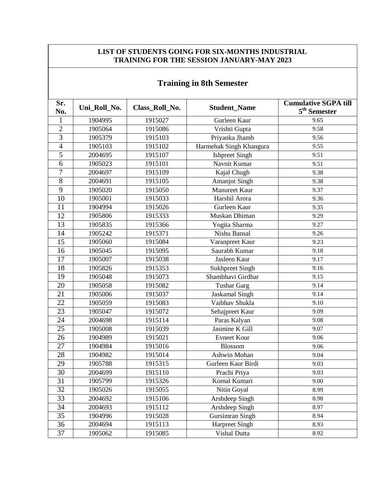## **LIST OF STUDENTS GOING FOR SIX-MONTHS INDUSTRIAL TRAINING FOR THE SESSION JANUARY-MAY 2023**

## **Training in 8th Semester**

| Sr.<br>No.      | Uni_Roll_No. | Class_Roll_No. | <b>Student_Name</b>     | <b>Cumulative SGPA till</b><br>$5^{\rm th}$ Semester |
|-----------------|--------------|----------------|-------------------------|------------------------------------------------------|
| $\mathbf{1}$    | 1904995      | 1915027        | Gurleen Kaur            | 9.65                                                 |
| $\overline{2}$  | 1905064      | 1915086        | Vrishti Gupta           | 9.58                                                 |
| $\overline{3}$  | 1905379      | 1915103        | Priyanka Jhamb          | 9.56                                                 |
| $\overline{4}$  | 1905103      | 1915102        | Harmehak Singh Khangura | 9.55                                                 |
| $\overline{5}$  | 2004695      | 1915107        | Ishpreet Singh          | 9.51                                                 |
| $\overline{6}$  | 1905023      | 1915101        | Navnit Kumar            | 9.51                                                 |
| $\overline{7}$  | 2004697      | 1915109        | Kajal Chugh             | 9.38                                                 |
| $\overline{8}$  | 2004691      | 1915105        | <b>Amanjot Singh</b>    | 9.38                                                 |
| 9               | 1905020      | 1915050        | <b>Manureet Kaur</b>    | 9.37                                                 |
| 10              | 1905001      | 1915033        | Harshil Arora           | 9.36                                                 |
| 11              | 1904994      | 1915026        | Gurleen Kaur            | 9.35                                                 |
| 12              | 1905806      | 1915333        | Muskan Dhiman           | 9.29                                                 |
| 13              | 1905835      | 1915366        | Yogita Sharma           | 9.27                                                 |
| 14              | 1905242      | 1915371        | Nishu Bansal            | 9.26                                                 |
| 15              | 1905060      | 1915084        | Varanpreet Kaur         | 9.23                                                 |
| $\overline{16}$ | 1905045      | 1915095        | Saurabh Kumar           | 9.18                                                 |
| 17              | 1905007      | 1915038        | Jasleen Kaur            | 9.17                                                 |
| $\overline{18}$ | 1905826      | 1915353        | <b>Sukhpreet Singh</b>  | 9.16                                                 |
| 19              | 1905048      | 1915073        | Shambhavi Girdhar       | 9.15                                                 |
| $\overline{20}$ | 1905058      | 1915082        | <b>Tushar Garg</b>      | 9.14                                                 |
| 21              | 1905006      | 1915037        | <b>Jaskamal Singh</b>   | 9.14                                                 |
| 22              | 1905059      | 1915083        | Vaibhav Shukla          | 9.10                                                 |
| $\overline{23}$ | 1905047      | 1915072        | Sehajpreet Kaur         | 9.09                                                 |
| 24              | 2004698      | 1915114        | Paras Kalyan            | 9.08                                                 |
| $\overline{25}$ | 1905008      | 1915039        | Jasmine K Gill          | 9.07                                                 |
| $\overline{26}$ | 1904989      | 1915021        | <b>Evneet Kour</b>      | 9.06                                                 |
| $\overline{27}$ | 1904984      | 1915016        | <b>Blossom</b>          | 9.06                                                 |
| 28              | 1904982      | 1915014        | Ashwin Mohan            | 9.04                                                 |
| $\overline{29}$ | 1905788      | 1915315        | Gurleen Kaur Birdi      | 9.03                                                 |
| 30              | 2004699      | 1915110        | Prachi Priya            | 9.03                                                 |
| $\overline{31}$ | 1905799      | 1915326        | Komal Kumari            | 9.00                                                 |
| 32              | 1905026      | 1915055        | Nitin Goyal             | 8.99                                                 |
| 33              | 2004692      | 1915106        | Arshdeep Singh          | 8.98                                                 |
| 34              | 2004693      | 1915112        | Arshdeep Singh          | 8.97                                                 |
| 35              | 1904996      | 1915028        | Gursimran Singh         | 8.94                                                 |
| 36              | 2004694      | 1915113        | <b>Harpreet Singh</b>   | 8.93                                                 |
| $\overline{37}$ | 1905062      | 1915085        | Vishal Dutta            | 8.92                                                 |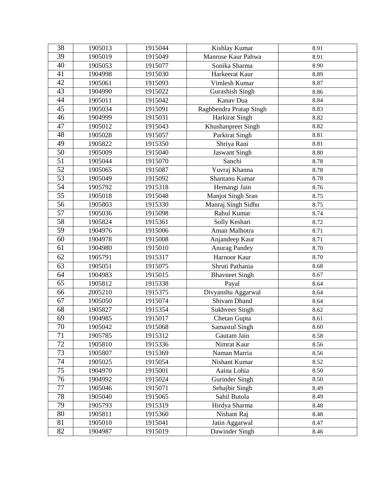| 38              | 1905013 | 1915044 | Kishlay Kumar           | 8.91 |
|-----------------|---------|---------|-------------------------|------|
| 39              | 1905019 | 1915049 | Manrose Kaur Pahwa      | 8.91 |
| 40              | 1905053 | 1915077 | Sonika Sharma           | 8.90 |
| $\overline{41}$ | 1904998 | 1915030 | Harkeerat Kaur          | 8.89 |
| 42              | 1905061 | 1915093 | Vimlesh Kumar           | 8.87 |
| $\overline{43}$ | 1904990 | 1915022 | <b>Gurashish Singh</b>  | 8.86 |
| 44              | 1905011 | 1915042 | Kanav Dua               | 8.84 |
| $\overline{45}$ | 1905034 | 1915091 | Raghbendra Pratap Singh | 8.83 |
| 46              | 1904999 | 1915031 | <b>Harkirat Singh</b>   | 8.82 |
| 47              | 1905012 | 1915043 | Khushanpreet Singh      | 8.82 |
| $\overline{48}$ | 1905028 | 1915057 | Parkirat Singh          | 8.81 |
| 49              | 1905822 | 1915350 | Shriya Rani             | 8.81 |
| $\overline{50}$ | 1905009 | 1915040 | <b>Jaswant Singh</b>    | 8.80 |
| 51              | 1905044 | 1915070 | Sanchi                  | 8.78 |
| 52              | 1905065 | 1915087 | Yuvraj Khanna           | 8.78 |
| 53              | 1905049 | 1915092 | Shantanu Kumar          | 8.78 |
| 54              | 1905792 | 1915318 | Hemangi Jain            | 8.76 |
| $\overline{55}$ | 1905018 | 1915048 | Manjot Singh Sran       | 8.75 |
| 56              | 1905803 | 1915330 | Manraj Singh Sidhu      | 8.75 |
| 57              | 1905036 | 1915098 | Rahul Kumar             | 8.74 |
| 58              | 1905824 | 1915361 | Solly Keshari           | 8.72 |
| $\overline{59}$ | 1904976 | 1915006 | Aman Malhotra           | 8.71 |
| $\overline{60}$ | 1904978 | 1915008 | Anjandeep Kaur          | 8.71 |
| 61              | 1904980 | 1915010 | <b>Anurag Pandey</b>    | 8.70 |
| 62              | 1905791 | 1915317 | Harnoor Kaur            | 8.70 |
| $\overline{63}$ | 1905051 | 1915075 | Shruti Pathania         | 8.68 |
| 64              | 1904983 | 1915015 | <b>Bhavneet Singh</b>   | 8.67 |
| $\overline{65}$ | 1905812 | 1915338 | Payal                   | 8.64 |
| 66              | 2005210 | 1915375 | Divyanshu Aggarwal      | 8.64 |
| 67              | 1905050 | 1915074 | Shivam Dhand            | 8.64 |
| 68              | 1905827 | 1915354 | <b>Sukhveer Singh</b>   | 8.62 |
| $\overline{69}$ | 1904985 | 1915017 | Chetan Gupta            | 8.61 |
| 70              | 1905042 | 1915068 | <b>Samastul Singh</b>   | 8.60 |
| 71              | 1905785 | 1915312 | Gautam Jain             | 8.58 |
| $\overline{72}$ | 1905810 | 1915336 | Nimrat Kaur             | 8.56 |
| 73              | 1905807 | 1915369 | Naman Marria            | 8.56 |
| 74              | 1905025 | 1915054 | Nishant Kumar           | 8.52 |
| 75              | 1904970 | 1915001 | Aaina Lohia             | 8.50 |
| $\overline{76}$ | 1904992 | 1915024 | Gurinder Singh          | 8.50 |
| 77              | 1905046 | 1915071 | Sehajbir Singh          | 8.49 |
| 78              | 1905040 | 1915065 | Sahil Butola            | 8.49 |
| 79              | 1905793 | 1915319 | Hirdya Sharma           | 8.48 |
| 80              | 1905811 | 1915360 | Nishant Raj             | 8.48 |
| 81              | 1905010 | 1915041 | Jatin Aggarwal          | 8.47 |
| 82              | 1904987 | 1915019 | Dawinder Singh          | 8.46 |